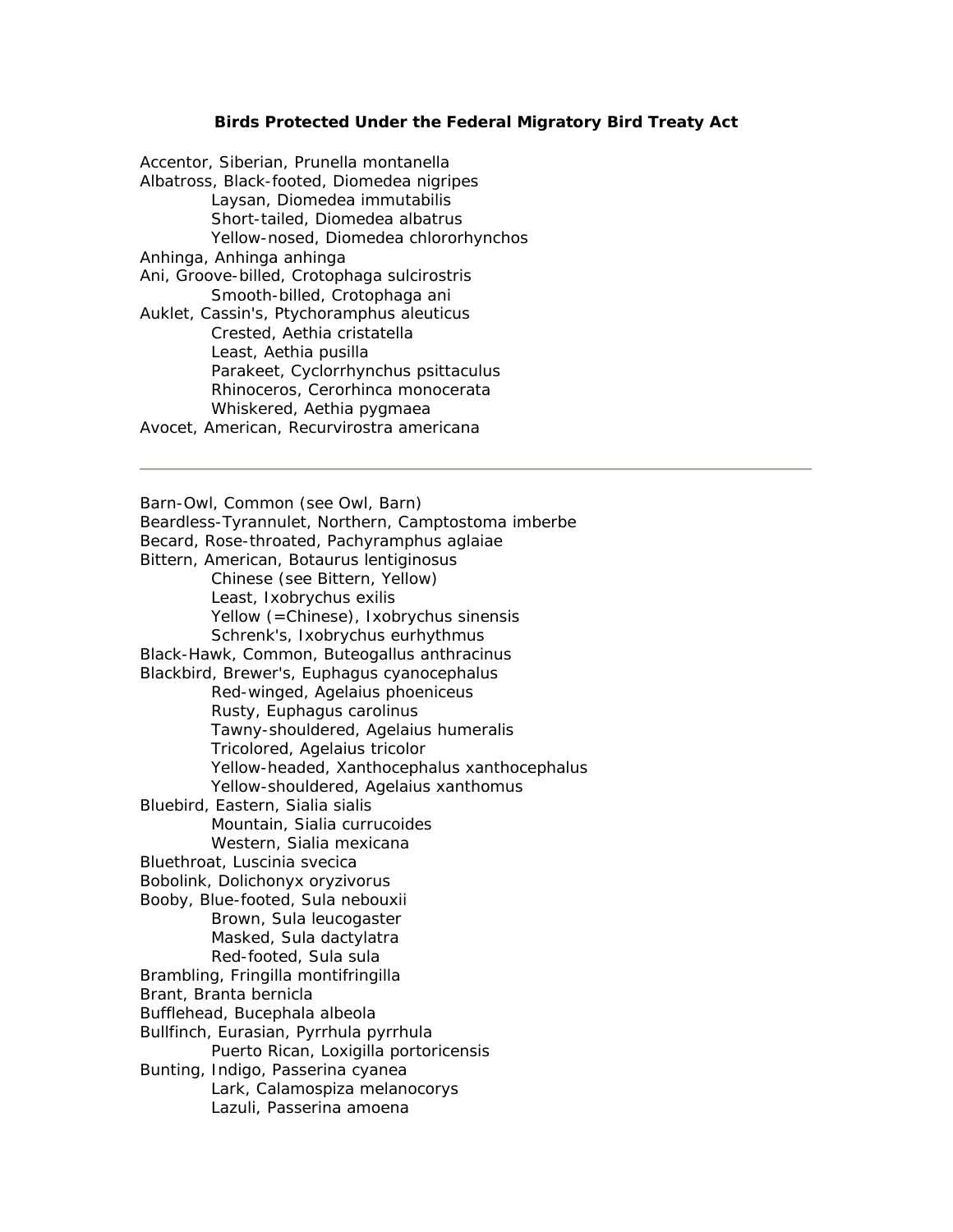## **Birds Protected Under the Federal Migratory Bird Treaty Act**

| Accentor, Siberian, Prunella montanella                  |
|----------------------------------------------------------|
| Albatross, Black-footed, Diomedea nigripes               |
| Laysan, Diomedea immutabilis                             |
| Short-tailed, Diomedea albatrus                          |
| Yellow-nosed, Diomedea chlororhynchos                    |
| Anhinga, Anhinga anhinga                                 |
| Ani, Groove-billed, Crotophaga sulcirostris              |
| Smooth-billed, Crotophaga ani                            |
| Auklet, Cassin's, Ptychoramphus aleuticus                |
| Crested, Aethia cristatella                              |
| Least, Aethia pusilla                                    |
| Parakeet, Cyclorrhynchus psittaculus                     |
| Rhinoceros, Cerorhinca monocerata                        |
| Whiskered, Aethia pygmaea                                |
| American Decuminactic americans<br>$\Lambda$ , $\Lambda$ |

Avocet, American, Recurvirostra americana

Barn-Owl, Common (see Owl, Barn) Beardless-Tyrannulet, Northern, Camptostoma imberbe Becard, Rose-throated, Pachyramphus aglaiae Bittern, American, Botaurus lentiginosus Chinese (see Bittern, Yellow) Least, Ixobrychus exilis Yellow (=Chinese), Ixobrychus sinensis Schrenk's, Ixobrychus eurhythmus Black-Hawk, Common, Buteogallus anthracinus Blackbird, Brewer's, Euphagus cyanocephalus Red-winged, Agelaius phoeniceus Rusty, Euphagus carolinus Tawny-shouldered, Agelaius humeralis Tricolored, Agelaius tricolor Yellow-headed, Xanthocephalus xanthocephalus Yellow-shouldered, Agelaius xanthomus Bluebird, Eastern, Sialia sialis Mountain, Sialia currucoides Western, Sialia mexicana Bluethroat, Luscinia svecica Bobolink, Dolichonyx oryzivorus Booby, Blue-footed, Sula nebouxii Brown, Sula leucogaster Masked, Sula dactylatra Red-footed, Sula sula Brambling, Fringilla montifringilla Brant, Branta bernicla Bufflehead, Bucephala albeola Bullfinch, Eurasian, Pyrrhula pyrrhula Puerto Rican, Loxigilla portoricensis Bunting, Indigo, Passerina cyanea Lark, Calamospiza melanocorys Lazuli, Passerina amoena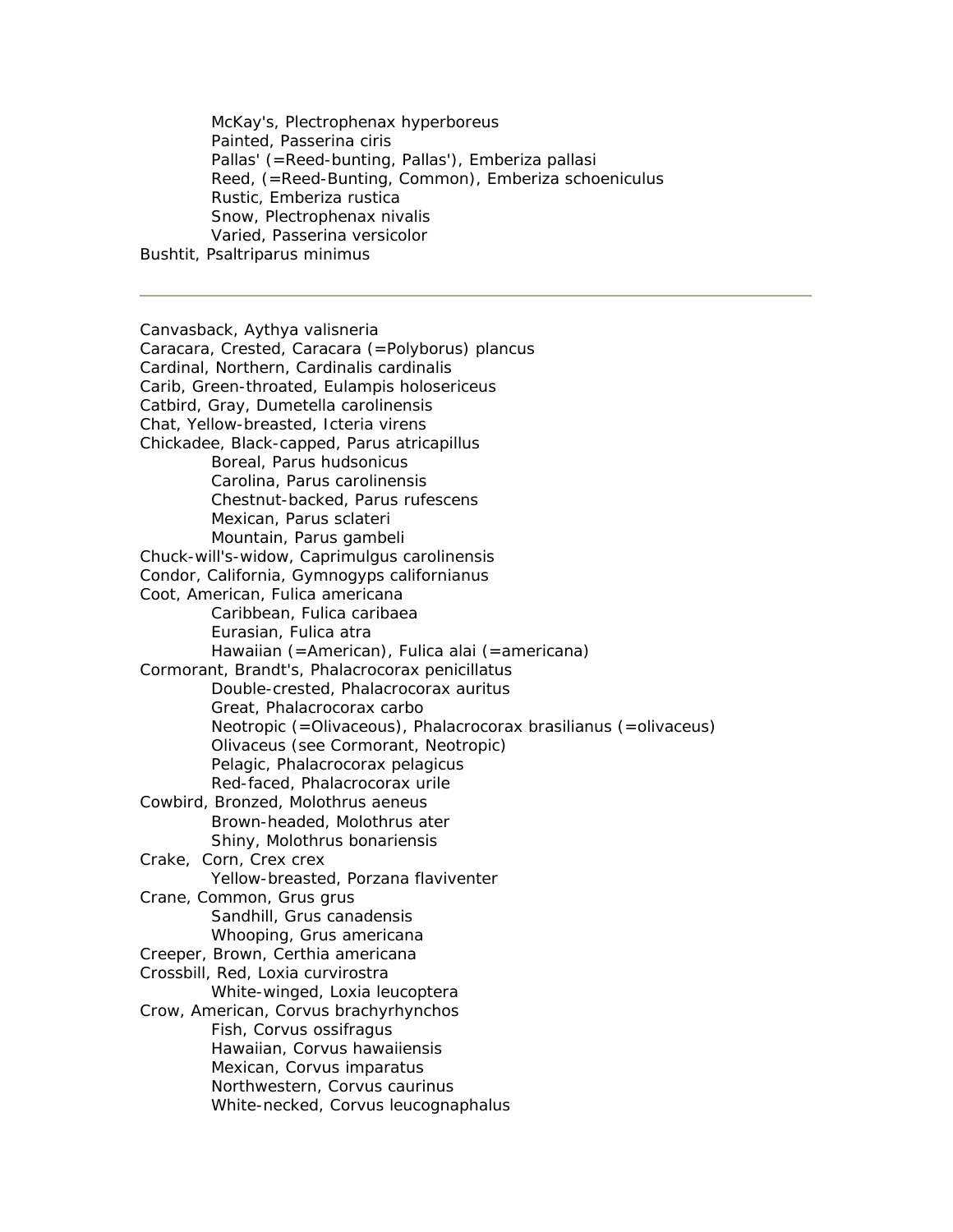McKay's, Plectrophenax hyperboreus Painted, Passerina ciris Pallas' (=Reed-bunting, Pallas'), Emberiza pallasi Reed, (=Reed-Bunting, Common), Emberiza schoeniculus Rustic, Emberiza rustica Snow, Plectrophenax nivalis Varied, Passerina versicolor Bushtit, Psaltriparus minimus

Canvasback, Aythya valisneria Caracara, Crested, Caracara (=Polyborus) plancus Cardinal, Northern, Cardinalis cardinalis Carib, Green-throated, Eulampis holosericeus Catbird, Gray, Dumetella carolinensis Chat, Yellow-breasted, Icteria virens Chickadee, Black-capped, Parus atricapillus Boreal, Parus hudsonicus Carolina, Parus carolinensis Chestnut-backed, Parus rufescens Mexican, Parus sclateri Mountain, Parus gambeli Chuck-will's-widow, Caprimulgus carolinensis Condor, California, Gymnogyps californianus Coot, American, Fulica americana Caribbean, Fulica caribaea Eurasian, Fulica atra Hawaiian (=American), Fulica alai (=americana) Cormorant, Brandt's, Phalacrocorax penicillatus Double-crested, Phalacrocorax auritus Great, Phalacrocorax carbo Neotropic (=Olivaceous), Phalacrocorax brasilianus (=olivaceus) Olivaceus (see Cormorant, Neotropic) Pelagic, Phalacrocorax pelagicus Red-faced, Phalacrocorax urile Cowbird, Bronzed, Molothrus aeneus Brown-headed, Molothrus ater Shiny, Molothrus bonariensis Crake, Corn, Crex crex Yellow-breasted, Porzana flaviventer Crane, Common, Grus grus Sandhill, Grus canadensis Whooping, Grus americana Creeper, Brown, Certhia americana Crossbill, Red, Loxia curvirostra White-winged, Loxia leucoptera Crow, American, Corvus brachyrhynchos Fish, Corvus ossifragus Hawaiian, Corvus hawaiiensis Mexican, Corvus imparatus Northwestern, Corvus caurinus White-necked, Corvus leucognaphalus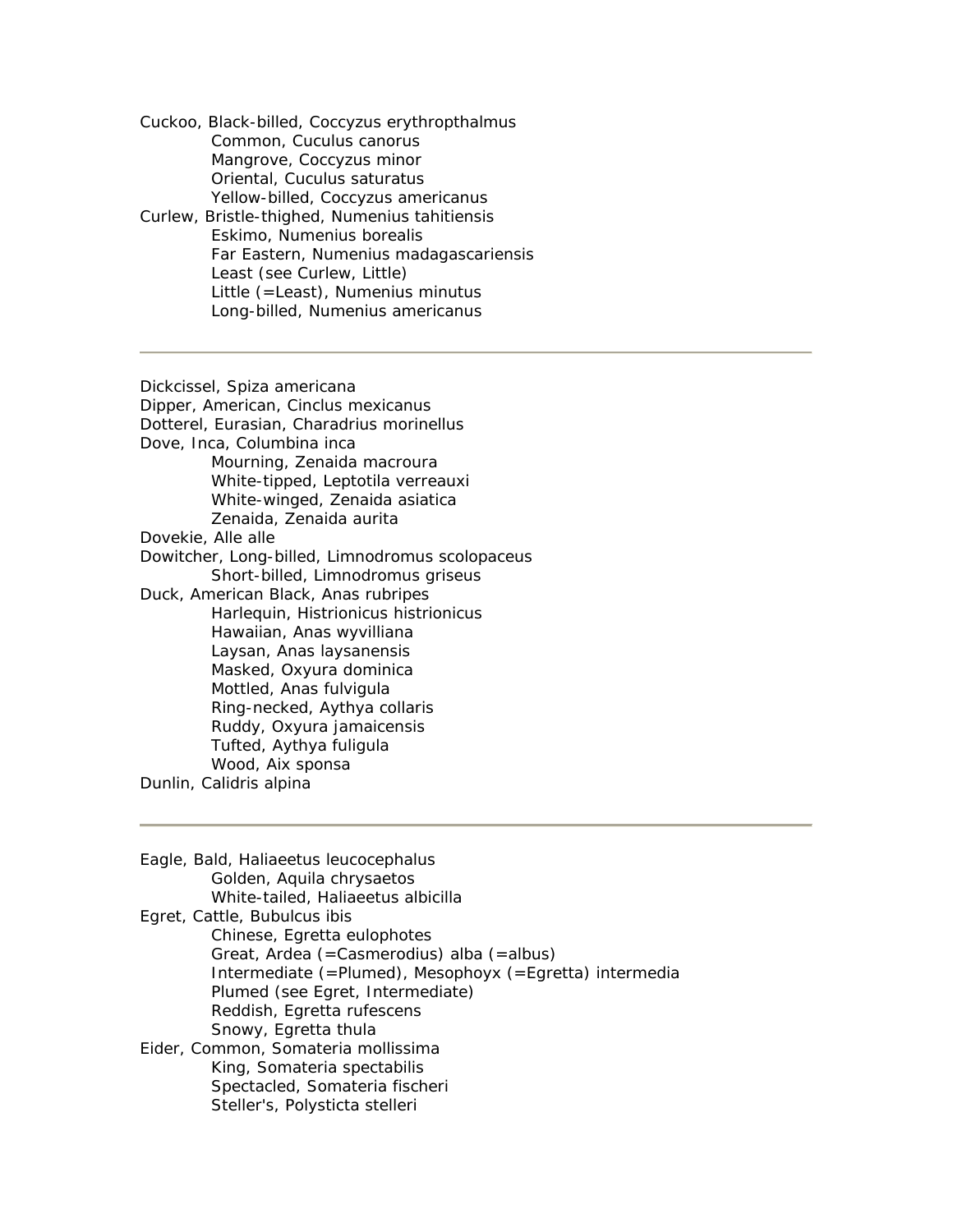Cuckoo, Black-billed, Coccyzus erythropthalmus Common, Cuculus canorus Mangrove, Coccyzus minor Oriental, Cuculus saturatus Yellow-billed, Coccyzus americanus

Curlew, Bristle-thighed, Numenius tahitiensis Eskimo, Numenius borealis Far Eastern, Numenius madagascariensis Least (see Curlew, Little) Little (=Least), Numenius minutus Long-billed, Numenius americanus

Dickcissel, Spiza americana Dipper, American, Cinclus mexicanus Dotterel, Eurasian, Charadrius morinellus Dove, Inca, Columbina inca Mourning, Zenaida macroura White-tipped, Leptotila verreauxi White-winged, Zenaida asiatica Zenaida, Zenaida aurita Dovekie, Alle alle Dowitcher, Long-billed, Limnodromus scolopaceus Short-billed, Limnodromus griseus Duck, American Black, Anas rubripes Harlequin, Histrionicus histrionicus Hawaiian, Anas wyvilliana Laysan, Anas laysanensis Masked, Oxyura dominica Mottled, Anas fulvigula Ring-necked, Aythya collaris Ruddy, Oxyura jamaicensis Tufted, Aythya fuligula Wood, Aix sponsa Dunlin, Calidris alpina

Eagle, Bald, Haliaeetus leucocephalus Golden, Aquila chrysaetos White-tailed, Haliaeetus albicilla Egret, Cattle, Bubulcus ibis Chinese, Egretta eulophotes Great, Ardea (=Casmerodius) alba (=albus) Intermediate (=Plumed), Mesophoyx (=Egretta) intermedia Plumed (see Egret, Intermediate) Reddish, Egretta rufescens Snowy, Egretta thula Eider, Common, Somateria mollissima King, Somateria spectabilis Spectacled, Somateria fischeri Steller's, Polysticta stelleri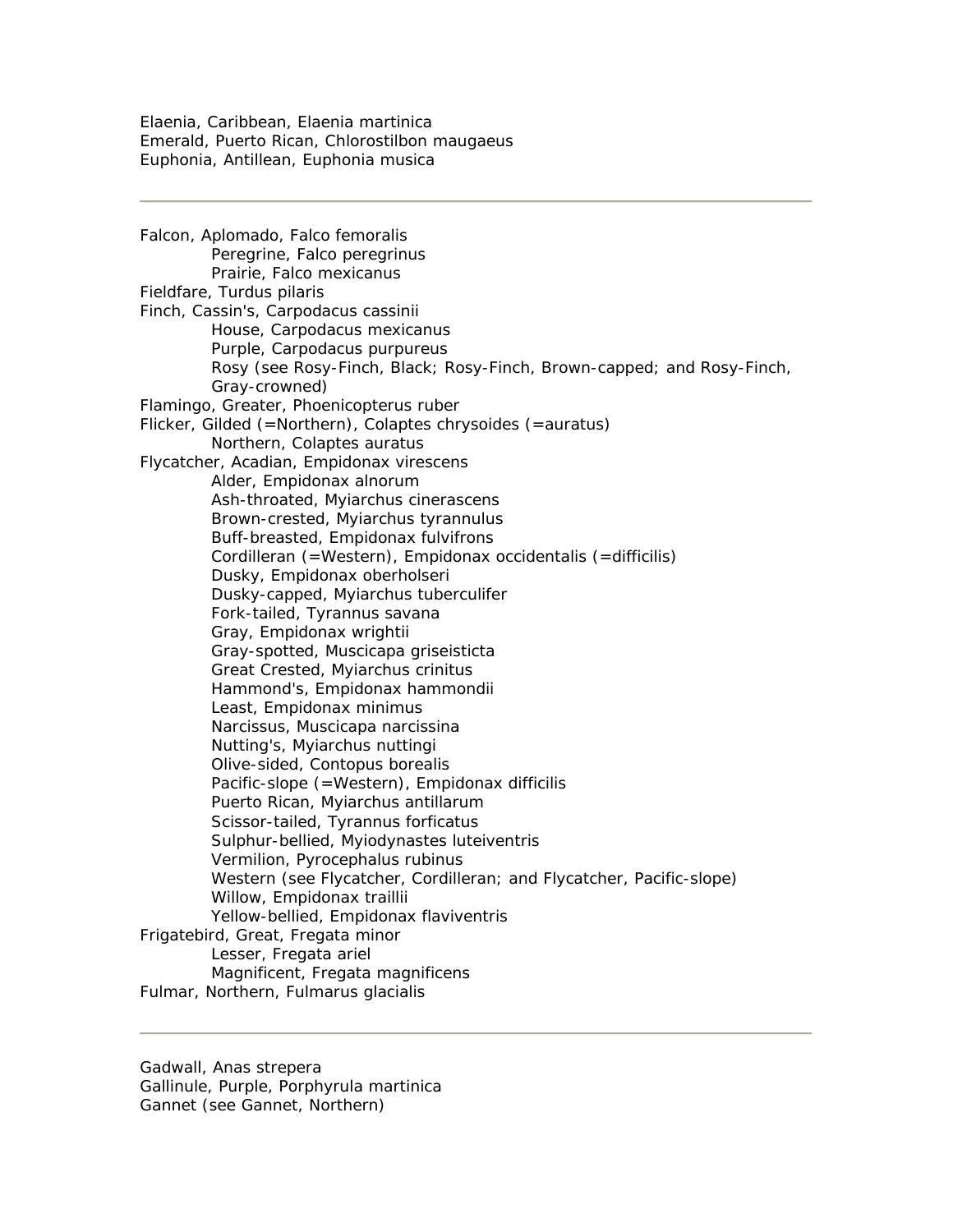Elaenia, Caribbean, Elaenia martinica Emerald, Puerto Rican, Chlorostilbon maugaeus Euphonia, Antillean, Euphonia musica

Falcon, Aplomado, Falco femoralis Peregrine, Falco peregrinus Prairie, Falco mexicanus Fieldfare, Turdus pilaris Finch, Cassin's, Carpodacus cassinii House, Carpodacus mexicanus Purple, Carpodacus purpureus Rosy (see Rosy-Finch, Black; Rosy-Finch, Brown-capped; and Rosy-Finch, Gray-crowned) Flamingo, Greater, Phoenicopterus ruber Flicker, Gilded (=Northern), Colaptes chrysoides (=auratus) Northern, Colaptes auratus Flycatcher, Acadian, Empidonax virescens Alder, Empidonax alnorum Ash-throated, Myiarchus cinerascens Brown-crested, Myiarchus tyrannulus Buff-breasted, Empidonax fulvifrons Cordilleran (=Western), Empidonax occidentalis (=difficilis) Dusky, Empidonax oberholseri Dusky-capped, Myiarchus tuberculifer Fork-tailed, Tyrannus savana Gray, Empidonax wrightii Gray-spotted, Muscicapa griseisticta Great Crested, Myiarchus crinitus Hammond's, Empidonax hammondii Least, Empidonax minimus Narcissus, Muscicapa narcissina Nutting's, Myiarchus nuttingi Olive-sided, Contopus borealis Pacific-slope (=Western), Empidonax difficilis Puerto Rican, Myiarchus antillarum Scissor-tailed, Tyrannus forficatus Sulphur-bellied, Myiodynastes luteiventris Vermilion, Pyrocephalus rubinus Western (see Flycatcher, Cordilleran; and Flycatcher, Pacific-slope) Willow, Empidonax traillii Yellow-bellied, Empidonax flaviventris Frigatebird, Great, Fregata minor Lesser, Fregata ariel Magnificent, Fregata magnificens Fulmar, Northern, Fulmarus glacialis

Gadwall, Anas strepera Gallinule, Purple, Porphyrula martinica Gannet (see Gannet, Northern)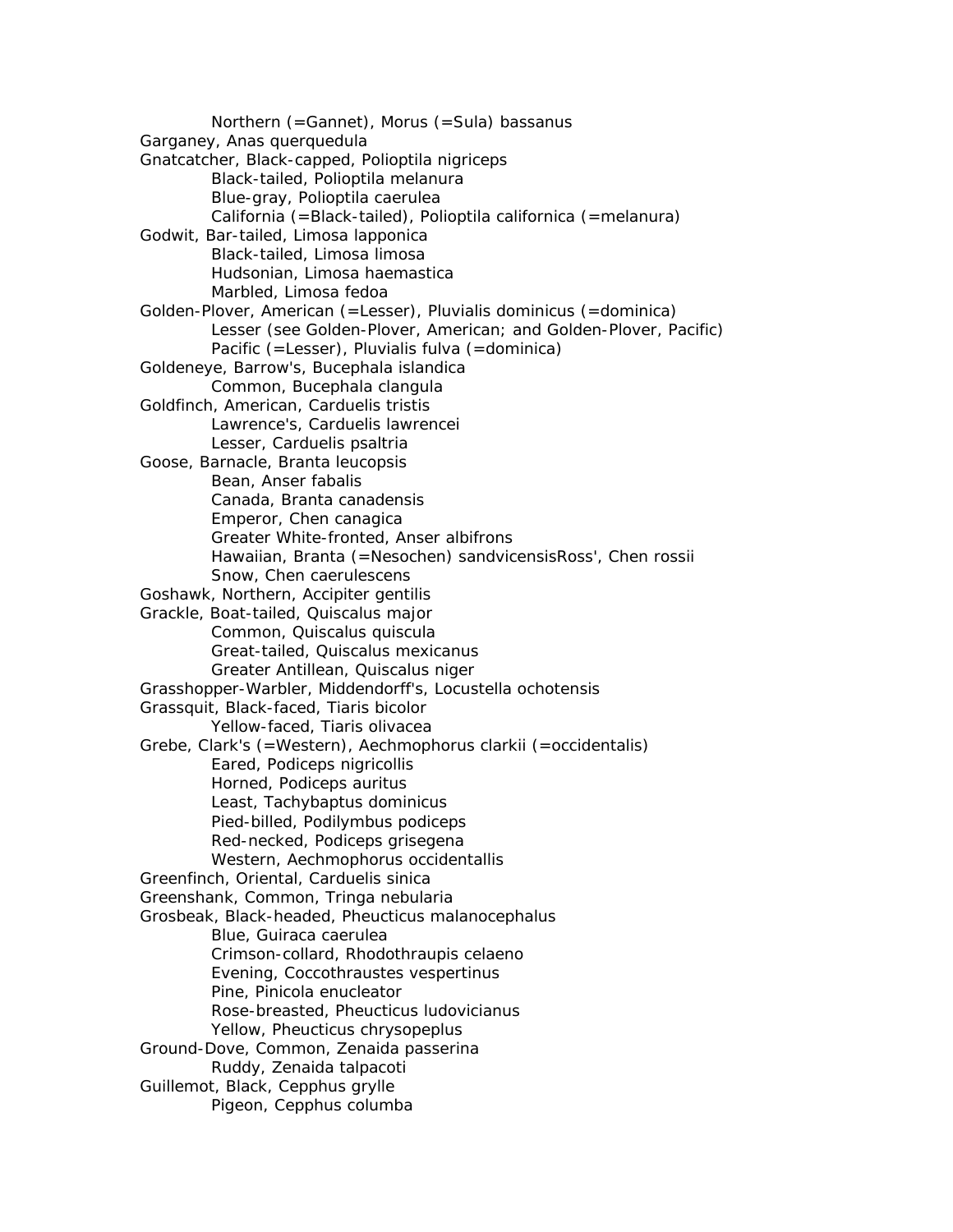Northern (=Gannet), Morus (=Sula) bassanus Garganey, Anas querquedula Gnatcatcher, Black-capped, Polioptila nigriceps Black-tailed, Polioptila melanura Blue-gray, Polioptila caerulea California (=Black-tailed), Polioptila californica (=melanura) Godwit, Bar-tailed, Limosa lapponica Black-tailed, Limosa limosa Hudsonian, Limosa haemastica Marbled, Limosa fedoa Golden-Plover, American (=Lesser), Pluvialis dominicus (=dominica) Lesser (see Golden-Plover, American; and Golden-Plover, Pacific) Pacific (=Lesser), Pluvialis fulva (=dominica) Goldeneye, Barrow's, Bucephala islandica Common, Bucephala clangula Goldfinch, American, Carduelis tristis Lawrence's, Carduelis lawrencei Lesser, Carduelis psaltria Goose, Barnacle, Branta leucopsis Bean, Anser fabalis Canada, Branta canadensis Emperor, Chen canagica Greater White-fronted, Anser albifrons Hawaiian, Branta (=Nesochen) sandvicensisRoss', Chen rossii Snow, Chen caerulescens Goshawk, Northern, Accipiter gentilis Grackle, Boat-tailed, Quiscalus major Common, Quiscalus quiscula Great-tailed, Quiscalus mexicanus Greater Antillean, Quiscalus niger Grasshopper-Warbler, Middendorff's, Locustella ochotensis Grassquit, Black-faced, Tiaris bicolor Yellow-faced, Tiaris olivacea Grebe, Clark's (=Western), Aechmophorus clarkii (=occidentalis) Eared, Podiceps nigricollis Horned, Podiceps auritus Least, Tachybaptus dominicus Pied-billed, Podilymbus podiceps Red-necked, Podiceps grisegena Western, Aechmophorus occidentallis Greenfinch, Oriental, Carduelis sinica Greenshank, Common, Tringa nebularia Grosbeak, Black-headed, Pheucticus malanocephalus Blue, Guiraca caerulea Crimson-collard, Rhodothraupis celaeno Evening, Coccothraustes vespertinus Pine, Pinicola enucleator Rose-breasted, Pheucticus ludovicianus Yellow, Pheucticus chrysopeplus Ground-Dove, Common, Zenaida passerina Ruddy, Zenaida talpacoti Guillemot, Black, Cepphus grylle Pigeon, Cepphus columba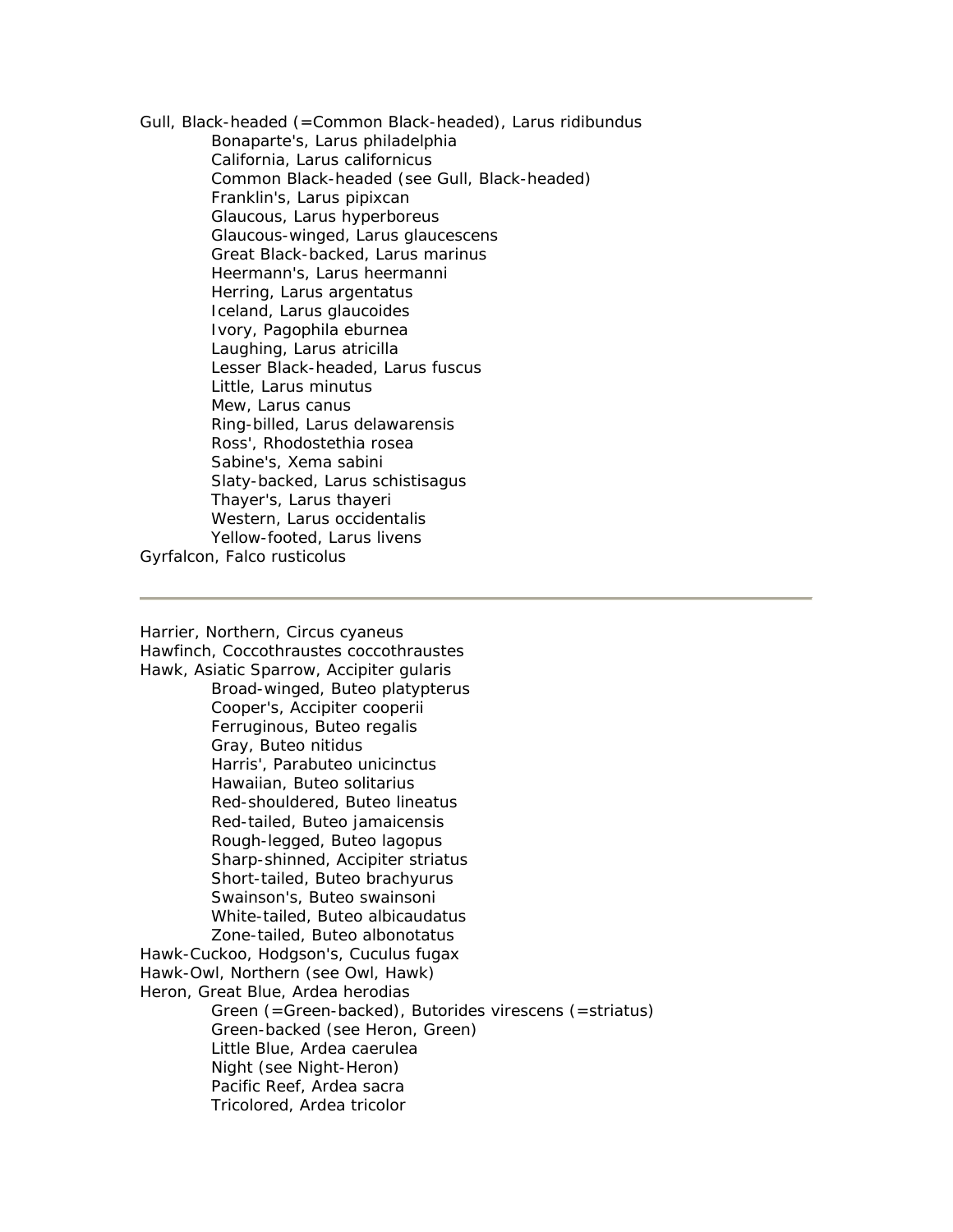Gull, Black-headed (=Common Black-headed), Larus ridibundus Bonaparte's, Larus philadelphia California, Larus californicus Common Black-headed (see Gull, Black-headed) Franklin's, Larus pipixcan Glaucous, Larus hyperboreus Glaucous-winged, Larus glaucescens Great Black-backed, Larus marinus Heermann's, Larus heermanni Herring, Larus argentatus Iceland, Larus glaucoides Ivory, Pagophila eburnea Laughing, Larus atricilla Lesser Black-headed, Larus fuscus Little, Larus minutus Mew, Larus canus Ring-billed, Larus delawarensis Ross', Rhodostethia rosea Sabine's, Xema sabini Slaty-backed, Larus schistisagus Thayer's, Larus thayeri Western, Larus occidentalis Yellow-footed, Larus livens Gyrfalcon, Falco rusticolus

Harrier, Northern, Circus cyaneus Hawfinch, Coccothraustes coccothraustes Hawk, Asiatic Sparrow, Accipiter gularis Broad-winged, Buteo platypterus Cooper's, Accipiter cooperii Ferruginous, Buteo regalis Gray, Buteo nitidus Harris', Parabuteo unicinctus Hawaiian, Buteo solitarius Red-shouldered, Buteo lineatus Red-tailed, Buteo jamaicensis Rough-legged, Buteo lagopus Sharp-shinned, Accipiter striatus Short-tailed, Buteo brachyurus Swainson's, Buteo swainsoni White-tailed, Buteo albicaudatus Zone-tailed, Buteo albonotatus Hawk-Cuckoo, Hodgson's, Cuculus fugax Hawk-Owl, Northern (see Owl, Hawk) Heron, Great Blue, Ardea herodias Green (=Green-backed), Butorides virescens (=striatus) Green-backed (see Heron, Green) Little Blue, Ardea caerulea Night (see Night-Heron) Pacific Reef, Ardea sacra Tricolored, Ardea tricolor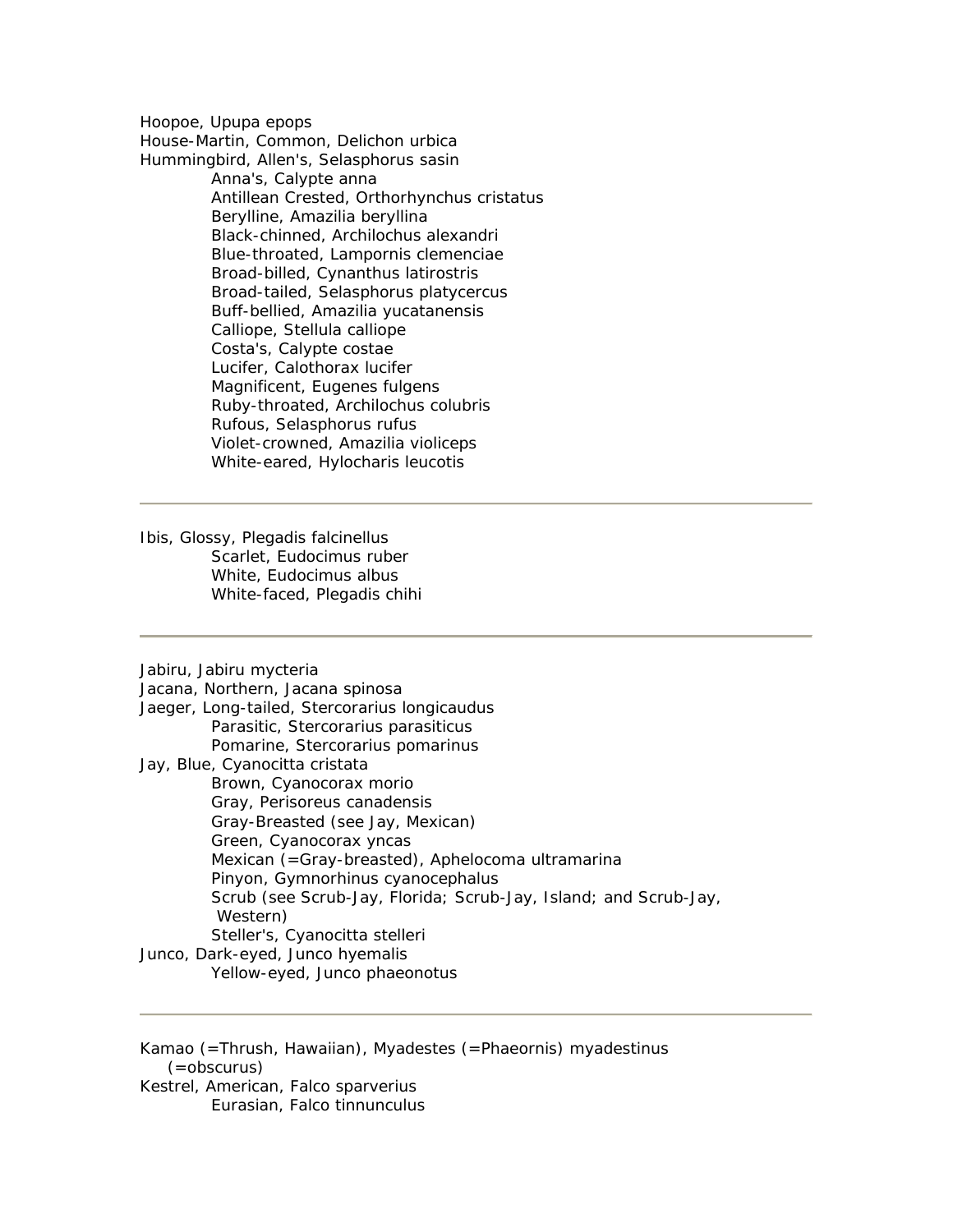Hoopoe, Upupa epops

House-Martin, Common, Delichon urbica Hummingbird, Allen's, Selasphorus sasin

> Anna's, Calypte anna Antillean Crested, Orthorhynchus cristatus Berylline, Amazilia beryllina Black-chinned, Archilochus alexandri Blue-throated, Lampornis clemenciae Broad-billed, Cynanthus latirostris Broad-tailed, Selasphorus platycercus Buff-bellied, Amazilia yucatanensis Calliope, Stellula calliope Costa's, Calypte costae Lucifer, Calothorax lucifer Magnificent, Eugenes fulgens Ruby-throated, Archilochus colubris Rufous, Selasphorus rufus Violet-crowned, Amazilia violiceps White-eared, Hylocharis leucotis

Ibis, Glossy, Plegadis falcinellus Scarlet, Eudocimus ruber White, Eudocimus albus White-faced, Plegadis chihi

Jabiru, Jabiru mycteria

Jacana, Northern, Jacana spinosa Jaeger, Long-tailed, Stercorarius longicaudus Parasitic, Stercorarius parasiticus Pomarine, Stercorarius pomarinus Jay, Blue, Cyanocitta cristata Brown, Cyanocorax morio Gray, Perisoreus canadensis Gray-Breasted (see Jay, Mexican) Green, Cyanocorax yncas Mexican (=Gray-breasted), Aphelocoma ultramarina Pinyon, Gymnorhinus cyanocephalus Scrub (see Scrub-Jay, Florida; Scrub-Jay, Island; and Scrub-Jay, Western) Steller's, Cyanocitta stelleri Junco, Dark-eyed, Junco hyemalis Yellow-eyed, Junco phaeonotus

Kamao (=Thrush, Hawaiian), Myadestes (=Phaeornis) myadestinus (=obscurus) Kestrel, American, Falco sparverius Eurasian, Falco tinnunculus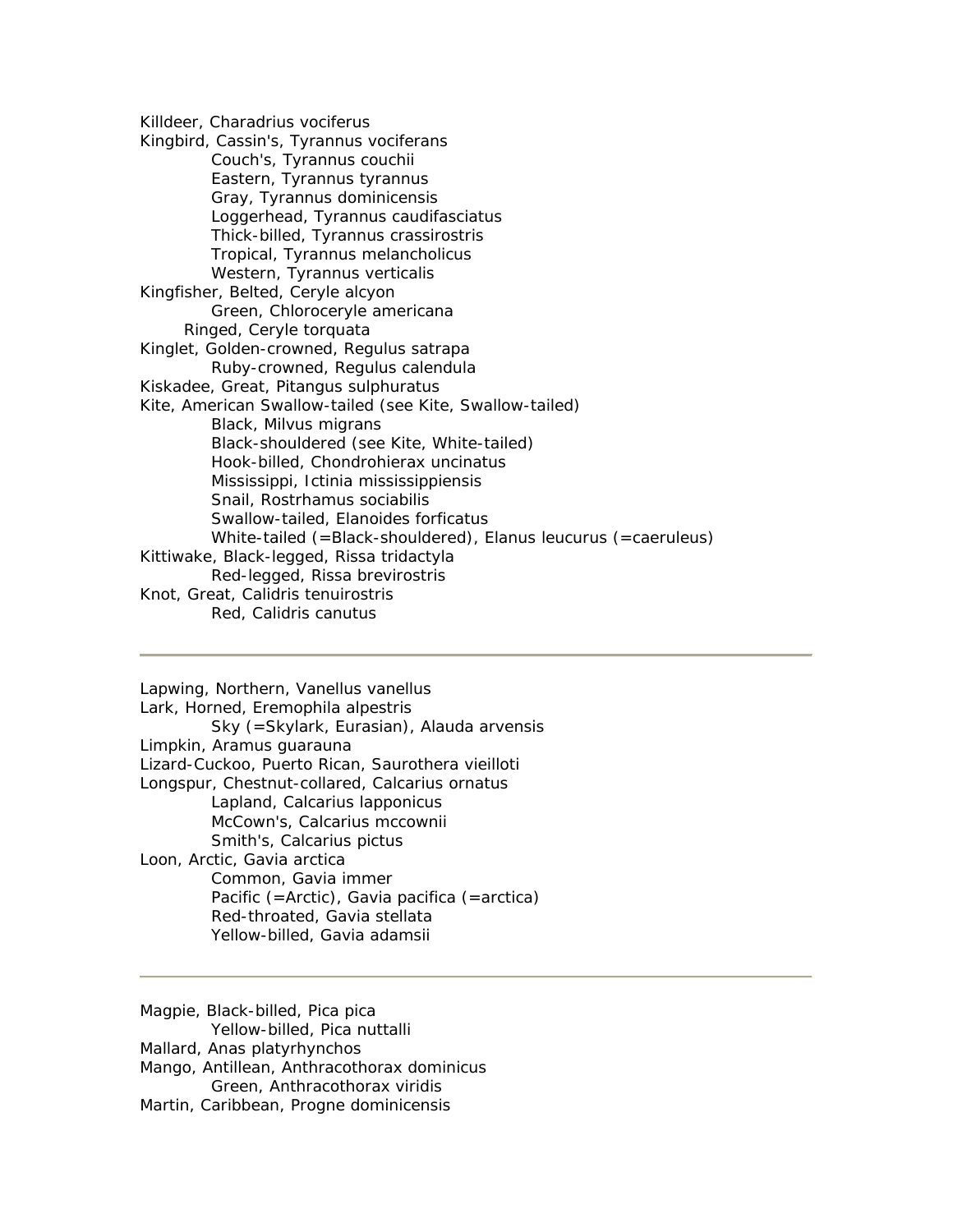Killdeer, Charadrius vociferus Kingbird, Cassin's, Tyrannus vociferans Couch's, Tyrannus couchii Eastern, Tyrannus tyrannus Gray, Tyrannus dominicensis Loggerhead, Tyrannus caudifasciatus Thick-billed, Tyrannus crassirostris Tropical, Tyrannus melancholicus Western, Tyrannus verticalis Kingfisher, Belted, Ceryle alcyon Green, Chloroceryle americana Ringed, Ceryle torquata Kinglet, Golden-crowned, Regulus satrapa Ruby-crowned, Regulus calendula Kiskadee, Great, Pitangus sulphuratus Kite, American Swallow-tailed (see Kite, Swallow-tailed) Black, Milvus migrans Black-shouldered (see Kite, White-tailed) Hook-billed, Chondrohierax uncinatus Mississippi, Ictinia mississippiensis Snail, Rostrhamus sociabilis Swallow-tailed, Elanoides forficatus White-tailed (=Black-shouldered), Elanus leucurus (=caeruleus) Kittiwake, Black-legged, Rissa tridactyla Red-legged, Rissa brevirostris Knot, Great, Calidris tenuirostris Red, Calidris canutus

Lapwing, Northern, Vanellus vanellus Lark, Horned, Eremophila alpestris Sky (=Skylark, Eurasian), Alauda arvensis Limpkin, Aramus guarauna Lizard-Cuckoo, Puerto Rican, Saurothera vieilloti Longspur, Chestnut-collared, Calcarius ornatus Lapland, Calcarius lapponicus McCown's, Calcarius mccownii Smith's, Calcarius pictus Loon, Arctic, Gavia arctica Common, Gavia immer Pacific (=Arctic), Gavia pacifica (=arctica) Red-throated, Gavia stellata Yellow-billed, Gavia adamsii

Magpie, Black-billed, Pica pica Yellow-billed, Pica nuttalli Mallard, Anas platyrhynchos Mango, Antillean, Anthracothorax dominicus Green, Anthracothorax viridis Martin, Caribbean, Progne dominicensis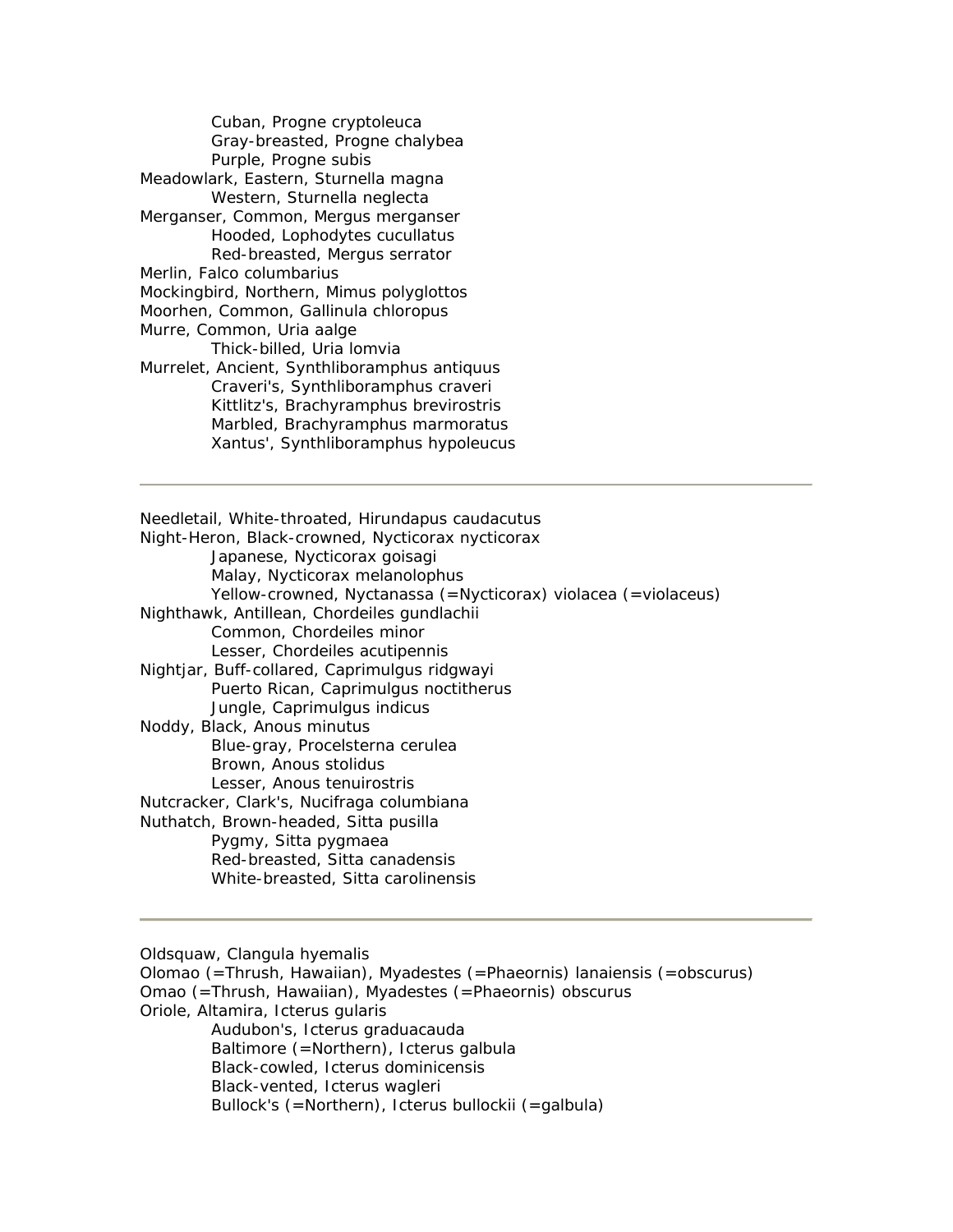Cuban, Progne cryptoleuca Gray-breasted, Progne chalybea Purple, Progne subis Meadowlark, Eastern, Sturnella magna Western, Sturnella neglecta Merganser, Common, Mergus merganser Hooded, Lophodytes cucullatus Red-breasted, Mergus serrator Merlin, Falco columbarius Mockingbird, Northern, Mimus polyglottos Moorhen, Common, Gallinula chloropus Murre, Common, Uria aalge Thick-billed, Uria lomvia Murrelet, Ancient, Synthliboramphus antiquus Craveri's, Synthliboramphus craveri Kittlitz's, Brachyramphus brevirostris Marbled, Brachyramphus marmoratus Xantus', Synthliboramphus hypoleucus

Needletail, White-throated, Hirundapus caudacutus Night-Heron, Black-crowned, Nycticorax nycticorax Japanese, Nycticorax goisagi Malay, Nycticorax melanolophus Yellow-crowned, Nyctanassa (=Nycticorax) violacea (=violaceus) Nighthawk, Antillean, Chordeiles gundlachii Common, Chordeiles minor Lesser, Chordeiles acutipennis Nightjar, Buff-collared, Caprimulgus ridgwayi Puerto Rican, Caprimulgus noctitherus Jungle, Caprimulgus indicus Noddy, Black, Anous minutus Blue-gray, Procelsterna cerulea Brown, Anous stolidus Lesser, Anous tenuirostris Nutcracker, Clark's, Nucifraga columbiana Nuthatch, Brown-headed, Sitta pusilla Pygmy, Sitta pygmaea Red-breasted, Sitta canadensis White-breasted, Sitta carolinensis

Oldsquaw, Clangula hyemalis

Olomao (=Thrush, Hawaiian), Myadestes (=Phaeornis) lanaiensis (=obscurus) Omao (=Thrush, Hawaiian), Myadestes (=Phaeornis) obscurus Oriole, Altamira, Icterus gularis Audubon's, Icterus graduacauda Baltimore (=Northern), Icterus galbula Black-cowled, Icterus dominicensis Black-vented, Icterus wagleri Bullock's (=Northern), Icterus bullockii (=galbula)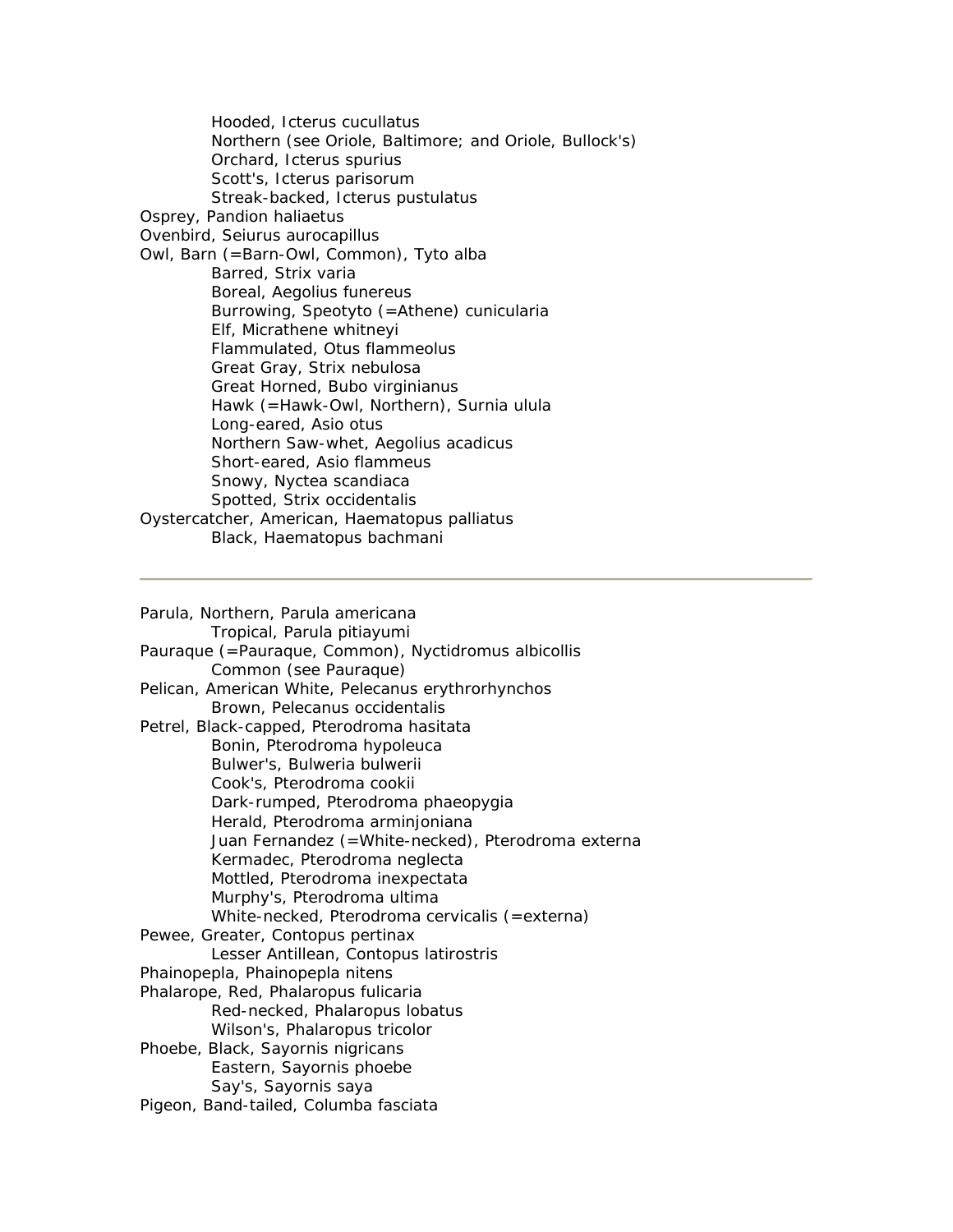Hooded, Icterus cucullatus Northern (see Oriole, Baltimore; and Oriole, Bullock's) Orchard, Icterus spurius Scott's, Icterus parisorum Streak-backed, Icterus pustulatus Osprey, Pandion haliaetus Ovenbird, Seiurus aurocapillus Owl, Barn (=Barn-Owl, Common), Tyto alba Barred, Strix varia Boreal, Aegolius funereus Burrowing, Speotyto (=Athene) cunicularia Elf, Micrathene whitneyi Flammulated, Otus flammeolus Great Gray, Strix nebulosa Great Horned, Bubo virginianus Hawk (=Hawk-Owl, Northern), Surnia ulula Long-eared, Asio otus Northern Saw-whet, Aegolius acadicus Short-eared, Asio flammeus Snowy, Nyctea scandiaca Spotted, Strix occidentalis Oystercatcher, American, Haematopus palliatus Black, Haematopus bachmani

Parula, Northern, Parula americana Tropical, Parula pitiayumi Pauraque (=Pauraque, Common), Nyctidromus albicollis Common (see Pauraque) Pelican, American White, Pelecanus erythrorhynchos Brown, Pelecanus occidentalis Petrel, Black-capped, Pterodroma hasitata Bonin, Pterodroma hypoleuca Bulwer's, Bulweria bulwerii Cook's, Pterodroma cookii Dark-rumped, Pterodroma phaeopygia Herald, Pterodroma arminjoniana Juan Fernandez (=White-necked), Pterodroma externa Kermadec, Pterodroma neglecta Mottled, Pterodroma inexpectata Murphy's, Pterodroma ultima White-necked, Pterodroma cervicalis (=externa) Pewee, Greater, Contopus pertinax Lesser Antillean, Contopus latirostris Phainopepla, Phainopepla nitens Phalarope, Red, Phalaropus fulicaria Red-necked, Phalaropus lobatus Wilson's, Phalaropus tricolor Phoebe, Black, Sayornis nigricans Eastern, Sayornis phoebe Say's, Sayornis saya Pigeon, Band-tailed, Columba fasciata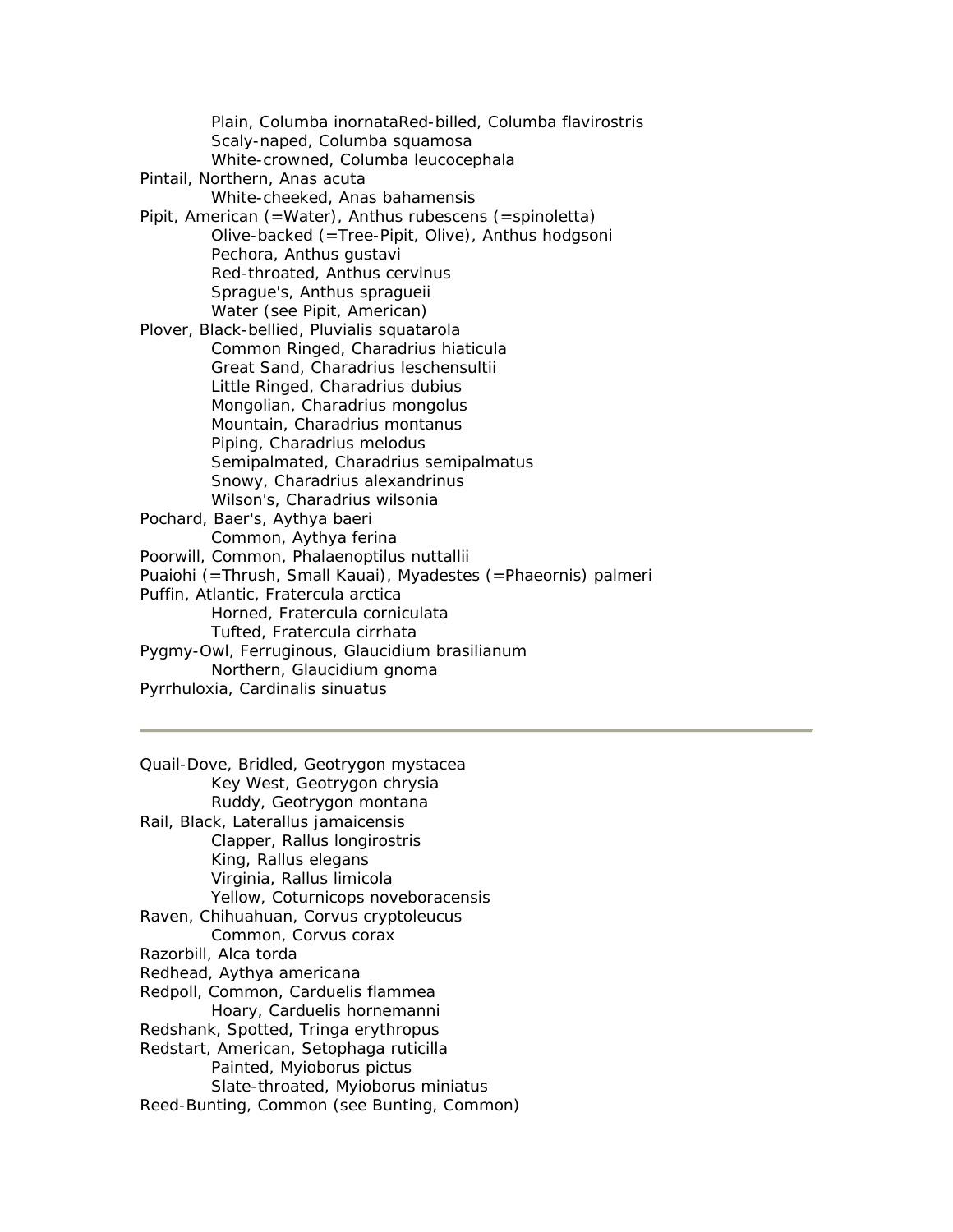Plain, Columba inornataRed-billed, Columba flavirostris Scaly-naped, Columba squamosa White-crowned, Columba leucocephala Pintail, Northern, Anas acuta White-cheeked, Anas bahamensis Pipit, American (=Water), Anthus rubescens (=spinoletta) Olive-backed (=Tree-Pipit, Olive), Anthus hodgsoni Pechora, Anthus gustavi Red-throated, Anthus cervinus Sprague's, Anthus spragueii Water (see Pipit, American) Plover, Black-bellied, Pluvialis squatarola Common Ringed, Charadrius hiaticula Great Sand, Charadrius leschensultii Little Ringed, Charadrius dubius Mongolian, Charadrius mongolus Mountain, Charadrius montanus Piping, Charadrius melodus Semipalmated, Charadrius semipalmatus Snowy, Charadrius alexandrinus Wilson's, Charadrius wilsonia Pochard, Baer's, Aythya baeri Common, Aythya ferina Poorwill, Common, Phalaenoptilus nuttallii Puaiohi (=Thrush, Small Kauai), Myadestes (=Phaeornis) palmeri Puffin, Atlantic, Fratercula arctica Horned, Fratercula corniculata Tufted, Fratercula cirrhata Pygmy-Owl, Ferruginous, Glaucidium brasilianum Northern, Glaucidium gnoma Pyrrhuloxia, Cardinalis sinuatus

Quail-Dove, Bridled, Geotrygon mystacea Key West, Geotrygon chrysia Ruddy, Geotrygon montana Rail, Black, Laterallus jamaicensis Clapper, Rallus longirostris King, Rallus elegans Virginia, Rallus limicola Yellow, Coturnicops noveboracensis Raven, Chihuahuan, Corvus cryptoleucus Common, Corvus corax Razorbill, Alca torda Redhead, Aythya americana Redpoll, Common, Carduelis flammea Hoary, Carduelis hornemanni Redshank, Spotted, Tringa erythropus Redstart, American, Setophaga ruticilla Painted, Myioborus pictus Slate-throated, Myioborus miniatus Reed-Bunting, Common (see Bunting, Common)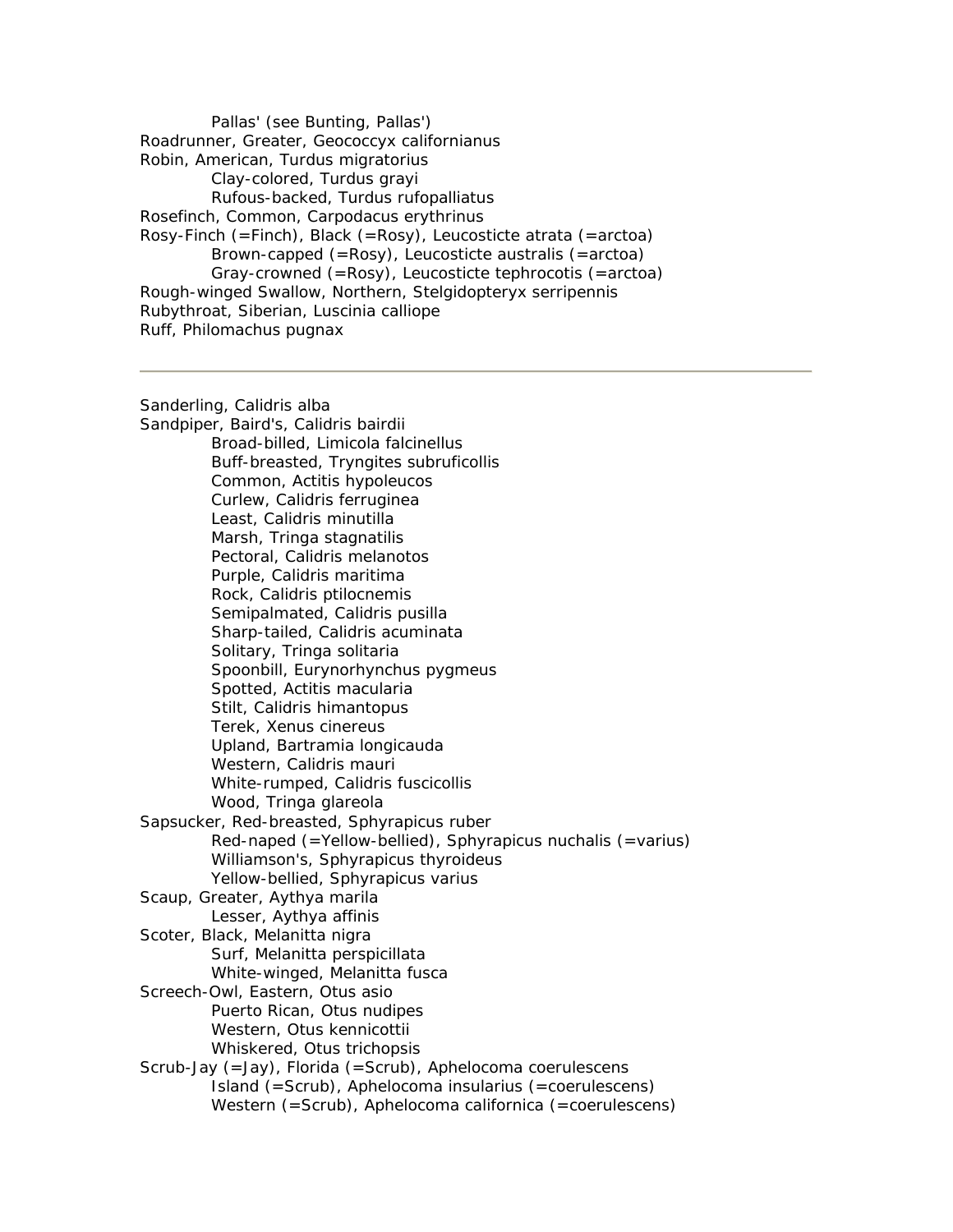Pallas' (see Bunting, Pallas') Roadrunner, Greater, Geococcyx californianus Robin, American, Turdus migratorius Clay-colored, Turdus grayi Rufous-backed, Turdus rufopalliatus Rosefinch, Common, Carpodacus erythrinus Rosy-Finch (=Finch), Black (=Rosy), Leucosticte atrata (=arctoa) Brown-capped (=Rosy), Leucosticte australis (=arctoa) Gray-crowned (=Rosy), Leucosticte tephrocotis (=arctoa) Rough-winged Swallow, Northern, Stelgidopteryx serripennis Rubythroat, Siberian, Luscinia calliope Ruff, Philomachus pugnax

Sanderling, Calidris alba Sandpiper, Baird's, Calidris bairdii Broad-billed, Limicola falcinellus Buff-breasted, Tryngites subruficollis Common, Actitis hypoleucos Curlew, Calidris ferruginea Least, Calidris minutilla Marsh, Tringa stagnatilis Pectoral, Calidris melanotos Purple, Calidris maritima Rock, Calidris ptilocnemis Semipalmated, Calidris pusilla Sharp-tailed, Calidris acuminata Solitary, Tringa solitaria Spoonbill, Eurynorhynchus pygmeus Spotted, Actitis macularia Stilt, Calidris himantopus Terek, Xenus cinereus Upland, Bartramia longicauda Western, Calidris mauri White-rumped, Calidris fuscicollis Wood, Tringa glareola Sapsucker, Red-breasted, Sphyrapicus ruber Red-naped (=Yellow-bellied), Sphyrapicus nuchalis (=varius) Williamson's, Sphyrapicus thyroideus Yellow-bellied, Sphyrapicus varius Scaup, Greater, Aythya marila Lesser, Aythya affinis Scoter, Black, Melanitta nigra Surf, Melanitta perspicillata White-winged, Melanitta fusca Screech-Owl, Eastern, Otus asio Puerto Rican, Otus nudipes Western, Otus kennicottii Whiskered, Otus trichopsis Scrub-Jay (=Jay), Florida (=Scrub), Aphelocoma coerulescens Island (=Scrub), Aphelocoma insularius (=coerulescens) Western (=Scrub), Aphelocoma californica (=coerulescens)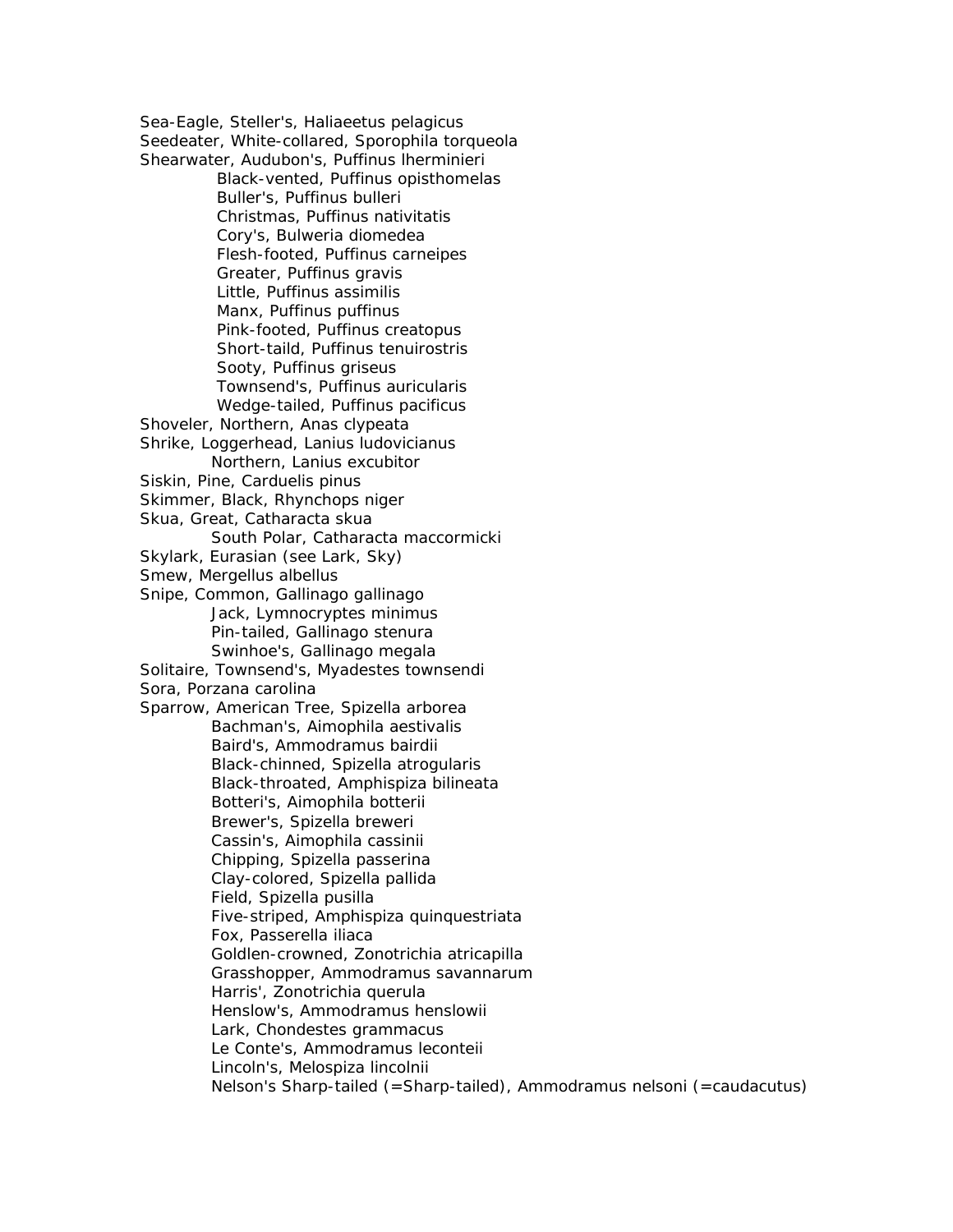Sea-Eagle, Steller's, Haliaeetus pelagicus Seedeater, White-collared, Sporophila torqueola Shearwater, Audubon's, Puffinus lherminieri Black-vented, Puffinus opisthomelas Buller's, Puffinus bulleri Christmas, Puffinus nativitatis Cory's, Bulweria diomedea Flesh-footed, Puffinus carneipes Greater, Puffinus gravis Little, Puffinus assimilis Manx, Puffinus puffinus Pink-footed, Puffinus creatopus Short-taild, Puffinus tenuirostris Sooty, Puffinus griseus Townsend's, Puffinus auricularis Wedge-tailed, Puffinus pacificus Shoveler, Northern, Anas clypeata Shrike, Loggerhead, Lanius ludovicianus Northern, Lanius excubitor Siskin, Pine, Carduelis pinus Skimmer, Black, Rhynchops niger Skua, Great, Catharacta skua South Polar, Catharacta maccormicki Skylark, Eurasian (see Lark, Sky) Smew, Mergellus albellus Snipe, Common, Gallinago gallinago Jack, Lymnocryptes minimus Pin-tailed, Gallinago stenura Swinhoe's, Gallinago megala Solitaire, Townsend's, Myadestes townsendi Sora, Porzana carolina Sparrow, American Tree, Spizella arborea Bachman's, Aimophila aestivalis Baird's, Ammodramus bairdii Black-chinned, Spizella atrogularis Black-throated, Amphispiza bilineata Botteri's, Aimophila botterii Brewer's, Spizella breweri Cassin's, Aimophila cassinii Chipping, Spizella passerina Clay-colored, Spizella pallida Field, Spizella pusilla Five-striped, Amphispiza quinquestriata Fox, Passerella iliaca Goldlen-crowned, Zonotrichia atricapilla Grasshopper, Ammodramus savannarum Harris', Zonotrichia querula Henslow's, Ammodramus henslowii Lark, Chondestes grammacus Le Conte's, Ammodramus leconteii Lincoln's, Melospiza lincolnii Nelson's Sharp-tailed (=Sharp-tailed), Ammodramus nelsoni (=caudacutus)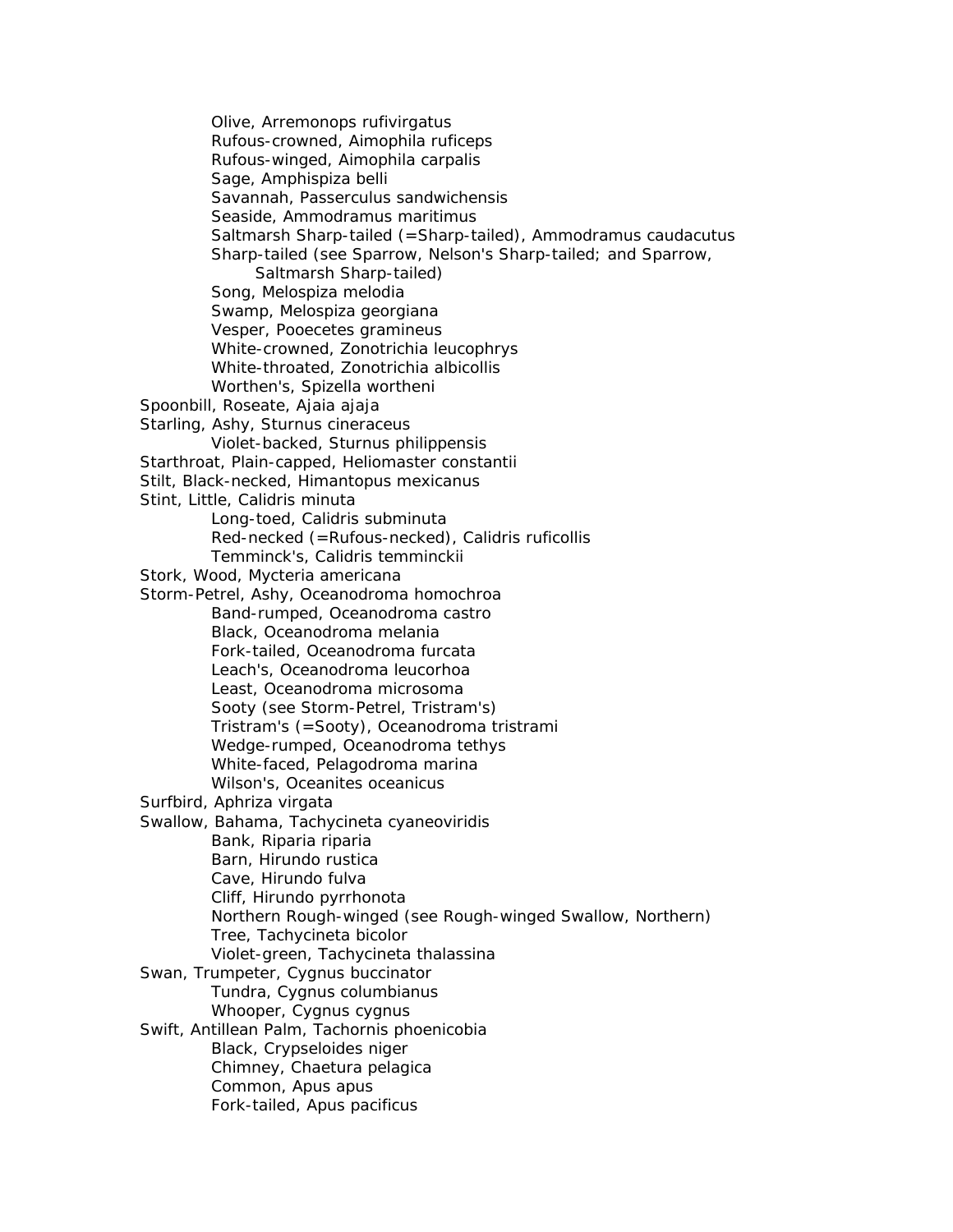Olive, Arremonops rufivirgatus Rufous-crowned, Aimophila ruficeps Rufous-winged, Aimophila carpalis Sage, Amphispiza belli Savannah, Passerculus sandwichensis Seaside, Ammodramus maritimus Saltmarsh Sharp-tailed (=Sharp-tailed), Ammodramus caudacutus Sharp-tailed (see Sparrow, Nelson's Sharp-tailed; and Sparrow, Saltmarsh Sharp-tailed) Song, Melospiza melodia Swamp, Melospiza georgiana Vesper, Pooecetes gramineus White-crowned, Zonotrichia leucophrys White-throated, Zonotrichia albicollis Worthen's, Spizella wortheni Spoonbill, Roseate, Ajaia ajaja Starling, Ashy, Sturnus cineraceus Violet-backed, Sturnus philippensis Starthroat, Plain-capped, Heliomaster constantii Stilt, Black-necked, Himantopus mexicanus Stint, Little, Calidris minuta Long-toed, Calidris subminuta Red-necked (=Rufous-necked), Calidris ruficollis Temminck's, Calidris temminckii Stork, Wood, Mycteria americana Storm-Petrel, Ashy, Oceanodroma homochroa Band-rumped, Oceanodroma castro Black, Oceanodroma melania Fork-tailed, Oceanodroma furcata Leach's, Oceanodroma leucorhoa Least, Oceanodroma microsoma Sooty (see Storm-Petrel, Tristram's) Tristram's (=Sooty), Oceanodroma tristrami Wedge-rumped, Oceanodroma tethys White-faced, Pelagodroma marina Wilson's, Oceanites oceanicus Surfbird, Aphriza virgata Swallow, Bahama, Tachycineta cyaneoviridis Bank, Riparia riparia Barn, Hirundo rustica Cave, Hirundo fulva Cliff, Hirundo pyrrhonota Northern Rough-winged (see Rough-winged Swallow, Northern) Tree, Tachycineta bicolor Violet-green, Tachycineta thalassina Swan, Trumpeter, Cygnus buccinator Tundra, Cygnus columbianus Whooper, Cygnus cygnus Swift, Antillean Palm, Tachornis phoenicobia Black, Crypseloides niger Chimney, Chaetura pelagica Common, Apus apus Fork-tailed, Apus pacificus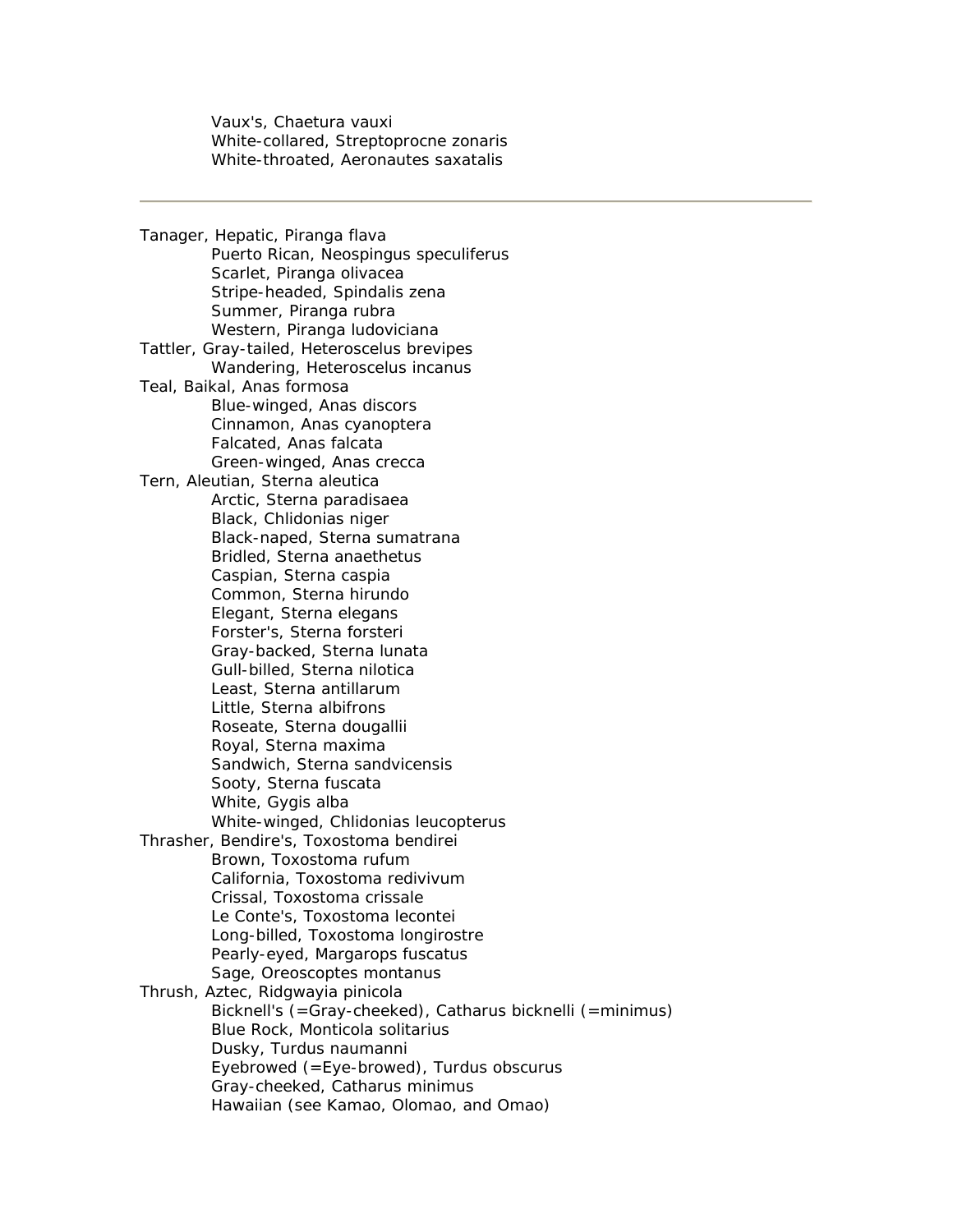Vaux's, Chaetura vauxi White-collared, Streptoprocne zonaris White-throated, Aeronautes saxatalis

Tanager, Hepatic, Piranga flava Puerto Rican, Neospingus speculiferus Scarlet, Piranga olivacea Stripe-headed, Spindalis zena Summer, Piranga rubra Western, Piranga ludoviciana Tattler, Gray-tailed, Heteroscelus brevipes Wandering, Heteroscelus incanus Teal, Baikal, Anas formosa Blue-winged, Anas discors Cinnamon, Anas cyanoptera Falcated, Anas falcata Green-winged, Anas crecca Tern, Aleutian, Sterna aleutica Arctic, Sterna paradisaea Black, Chlidonias niger Black-naped, Sterna sumatrana Bridled, Sterna anaethetus Caspian, Sterna caspia Common, Sterna hirundo Elegant, Sterna elegans Forster's, Sterna forsteri Gray-backed, Sterna lunata Gull-billed, Sterna nilotica Least, Sterna antillarum Little, Sterna albifrons Roseate, Sterna dougallii Royal, Sterna maxima Sandwich, Sterna sandvicensis Sooty, Sterna fuscata White, Gygis alba White-winged, Chlidonias leucopterus Thrasher, Bendire's, Toxostoma bendirei Brown, Toxostoma rufum California, Toxostoma redivivum Crissal, Toxostoma crissale Le Conte's, Toxostoma lecontei Long-billed, Toxostoma longirostre Pearly-eyed, Margarops fuscatus Sage, Oreoscoptes montanus Thrush, Aztec, Ridgwayia pinicola Bicknell's (=Gray-cheeked), Catharus bicknelli (=minimus) Blue Rock, Monticola solitarius Dusky, Turdus naumanni Eyebrowed (=Eye-browed), Turdus obscurus Gray-cheeked, Catharus minimus Hawaiian (see Kamao, Olomao, and Omao)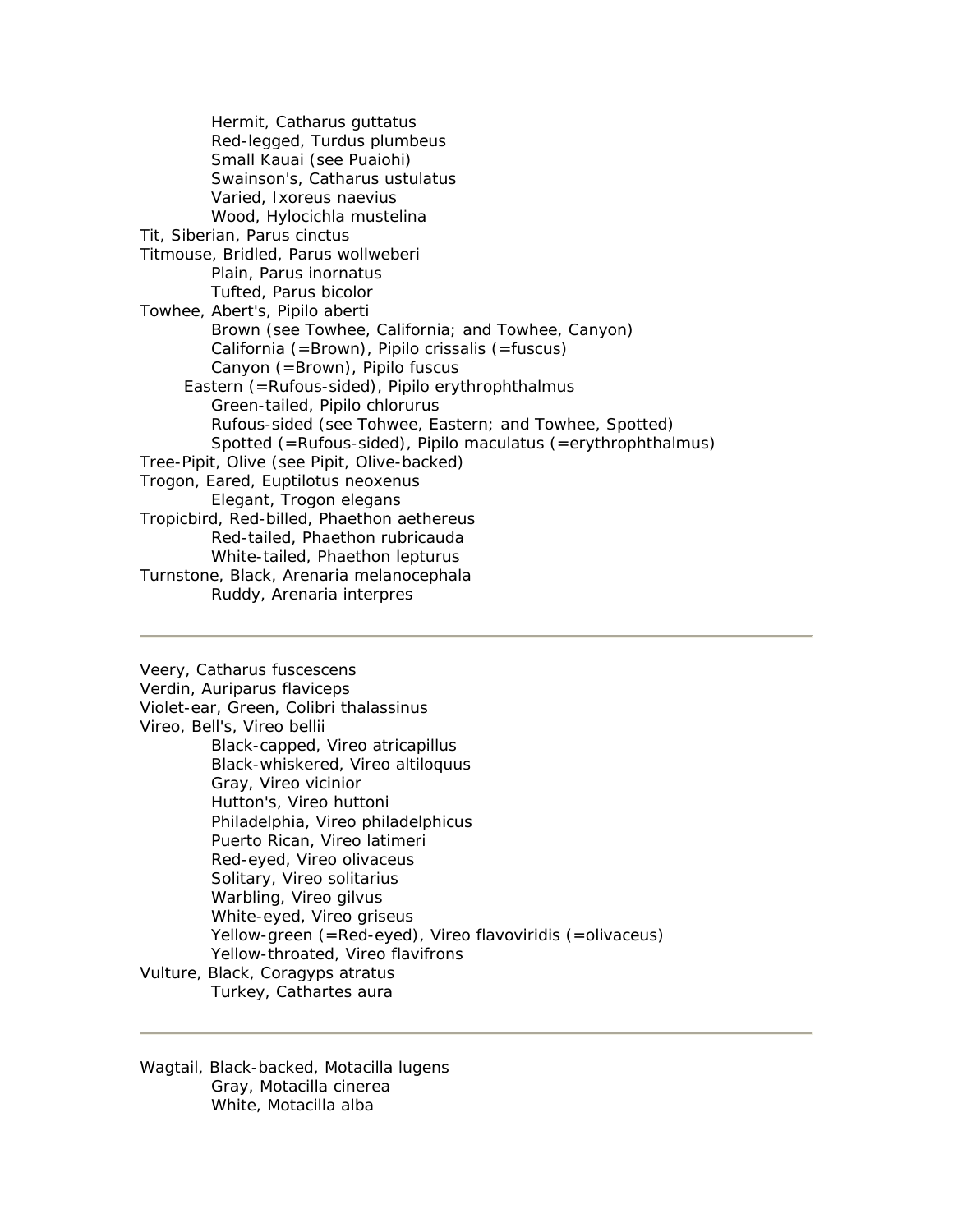Hermit, Catharus guttatus Red-legged, Turdus plumbeus Small Kauai (see Puaiohi) Swainson's, Catharus ustulatus Varied, Ixoreus naevius Wood, Hylocichla mustelina Tit, Siberian, Parus cinctus Titmouse, Bridled, Parus wollweberi Plain, Parus inornatus Tufted, Parus bicolor Towhee, Abert's, Pipilo aberti Brown (see Towhee, California; and Towhee, Canyon) California (=Brown), Pipilo crissalis (=fuscus) Canyon (=Brown), Pipilo fuscus Eastern (=Rufous-sided), Pipilo erythrophthalmus Green-tailed, Pipilo chlorurus Rufous-sided (see Tohwee, Eastern; and Towhee, Spotted) Spotted (=Rufous-sided), Pipilo maculatus (=erythrophthalmus) Tree-Pipit, Olive (see Pipit, Olive-backed) Trogon, Eared, Euptilotus neoxenus Elegant, Trogon elegans Tropicbird, Red-billed, Phaethon aethereus Red-tailed, Phaethon rubricauda White-tailed, Phaethon lepturus Turnstone, Black, Arenaria melanocephala Ruddy, Arenaria interpres

Veery, Catharus fuscescens Verdin, Auriparus flaviceps Violet-ear, Green, Colibri thalassinus Vireo, Bell's, Vireo bellii Black-capped, Vireo atricapillus Black-whiskered, Vireo altiloquus Gray, Vireo vicinior Hutton's, Vireo huttoni Philadelphia, Vireo philadelphicus Puerto Rican, Vireo latimeri Red-eyed, Vireo olivaceus Solitary, Vireo solitarius Warbling, Vireo gilvus White-eyed, Vireo griseus Yellow-green (=Red-eyed), Vireo flavoviridis (=olivaceus) Yellow-throated, Vireo flavifrons Vulture, Black, Coragyps atratus Turkey, Cathartes aura

Wagtail, Black-backed, Motacilla lugens Gray, Motacilla cinerea White, Motacilla alba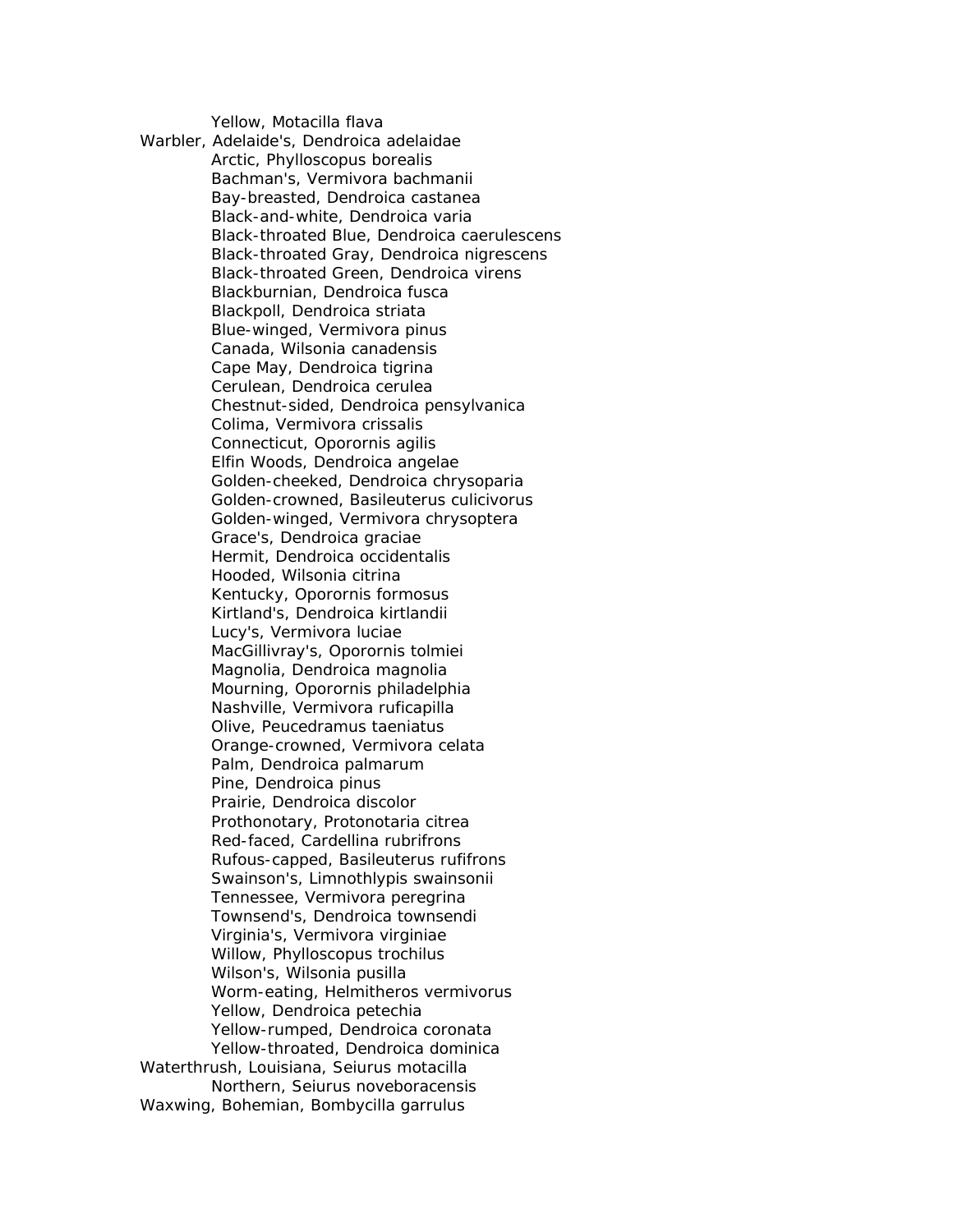Yellow, Motacilla flava

Warbler, Adelaide's, Dendroica adelaidae Arctic, Phylloscopus borealis Bachman's, Vermivora bachmanii Bay-breasted, Dendroica castanea Black-and-white, Dendroica varia Black-throated Blue, Dendroica caerulescens Black-throated Gray, Dendroica nigrescens Black-throated Green, Dendroica virens Blackburnian, Dendroica fusca Blackpoll, Dendroica striata Blue-winged, Vermivora pinus Canada, Wilsonia canadensis Cape May, Dendroica tigrina Cerulean, Dendroica cerulea Chestnut-sided, Dendroica pensylvanica Colima, Vermivora crissalis Connecticut, Oporornis agilis Elfin Woods, Dendroica angelae Golden-cheeked, Dendroica chrysoparia Golden-crowned, Basileuterus culicivorus Golden-winged, Vermivora chrysoptera Grace's, Dendroica graciae Hermit, Dendroica occidentalis Hooded, Wilsonia citrina Kentucky, Oporornis formosus Kirtland's, Dendroica kirtlandii Lucy's, Vermivora luciae MacGillivray's, Oporornis tolmiei Magnolia, Dendroica magnolia Mourning, Oporornis philadelphia Nashville, Vermivora ruficapilla Olive, Peucedramus taeniatus Orange-crowned, Vermivora celata Palm, Dendroica palmarum Pine, Dendroica pinus Prairie, Dendroica discolor Prothonotary, Protonotaria citrea Red-faced, Cardellina rubrifrons Rufous-capped, Basileuterus rufifrons Swainson's, Limnothlypis swainsonii Tennessee, Vermivora peregrina Townsend's, Dendroica townsendi Virginia's, Vermivora virginiae Willow, Phylloscopus trochilus Wilson's, Wilsonia pusilla Worm-eating, Helmitheros vermivorus Yellow, Dendroica petechia Yellow-rumped, Dendroica coronata Yellow-throated, Dendroica dominica Waterthrush, Louisiana, Seiurus motacilla Northern, Seiurus noveboracensis Waxwing, Bohemian, Bombycilla garrulus